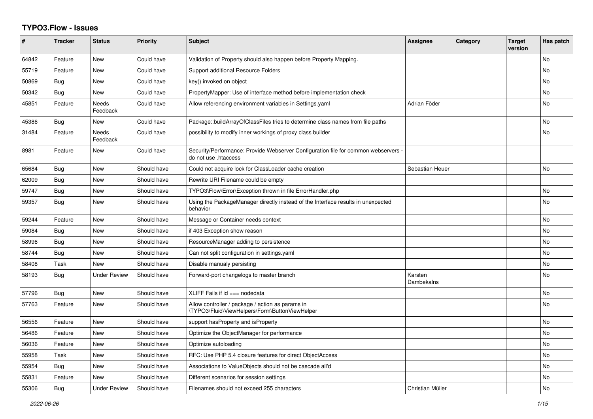## **TYPO3.Flow - Issues**

| #     | <b>Tracker</b> | <b>Status</b>            | <b>Priority</b> | <b>Subject</b>                                                                                             | Assignee              | Category | <b>Target</b><br>version | Has patch |
|-------|----------------|--------------------------|-----------------|------------------------------------------------------------------------------------------------------------|-----------------------|----------|--------------------------|-----------|
| 64842 | Feature        | New                      | Could have      | Validation of Property should also happen before Property Mapping.                                         |                       |          |                          | <b>No</b> |
| 55719 | Feature        | New                      | Could have      | Support additional Resource Folders                                                                        |                       |          |                          | No        |
| 50869 | Bug            | New                      | Could have      | key() invoked on object                                                                                    |                       |          |                          | No        |
| 50342 | Bug            | New                      | Could have      | PropertyMapper: Use of interface method before implementation check                                        |                       |          |                          | No        |
| 45851 | Feature        | <b>Needs</b><br>Feedback | Could have      | Allow referencing environment variables in Settings.yaml                                                   | Adrian Föder          |          |                          | <b>No</b> |
| 45386 | Bug            | <b>New</b>               | Could have      | Package::buildArrayOfClassFiles tries to determine class names from file paths                             |                       |          |                          | No        |
| 31484 | Feature        | Needs<br>Feedback        | Could have      | possibility to modify inner workings of proxy class builder                                                |                       |          |                          | No        |
| 8981  | Feature        | New                      | Could have      | Security/Performance: Provide Webserver Configuration file for common webservers -<br>do not use .htaccess |                       |          |                          |           |
| 65684 | Bug            | New                      | Should have     | Could not acquire lock for ClassLoader cache creation                                                      | Sebastian Heuer       |          |                          | <b>No</b> |
| 62009 | Bug            | New                      | Should have     | Rewrite URI Filename could be empty                                                                        |                       |          |                          |           |
| 59747 | Bug            | New                      | Should have     | TYPO3\Flow\Error\Exception thrown in file ErrorHandler.php                                                 |                       |          |                          | No        |
| 59357 | Bug            | New                      | Should have     | Using the PackageManager directly instead of the Interface results in unexpected<br>behavior               |                       |          |                          | No        |
| 59244 | Feature        | New                      | Should have     | Message or Container needs context                                                                         |                       |          |                          | No        |
| 59084 | Bug            | <b>New</b>               | Should have     | if 403 Exception show reason                                                                               |                       |          |                          | <b>No</b> |
| 58996 | Bug            | <b>New</b>               | Should have     | ResourceManager adding to persistence                                                                      |                       |          |                          | No        |
| 58744 | Bug            | New                      | Should have     | Can not split configuration in settings yaml                                                               |                       |          |                          | No        |
| 58408 | Task           | <b>New</b>               | Should have     | Disable manualy persisting                                                                                 |                       |          |                          | No.       |
| 58193 | Bug            | <b>Under Review</b>      | Should have     | Forward-port changelogs to master branch                                                                   | Karsten<br>Dambekalns |          |                          | No        |
| 57796 | Bug            | <b>New</b>               | Should have     | XLIFF Fails if $id ==$ nodedata                                                                            |                       |          |                          | No.       |
| 57763 | Feature        | New                      | Should have     | Allow controller / package / action as params in<br>\TYPO3\Fluid\ViewHelpers\Form\ButtonViewHelper         |                       |          |                          | No.       |
| 56556 | Feature        | <b>New</b>               | Should have     | support hasProperty and isProperty                                                                         |                       |          |                          | No.       |
| 56486 | Feature        | <b>New</b>               | Should have     | Optimize the ObjectManager for performance                                                                 |                       |          |                          | No        |
| 56036 | Feature        | <b>New</b>               | Should have     | Optimize autoloading                                                                                       |                       |          |                          | No        |
| 55958 | Task           | <b>New</b>               | Should have     | RFC: Use PHP 5.4 closure features for direct ObjectAccess                                                  |                       |          |                          | No        |
| 55954 | <b>Bug</b>     | New                      | Should have     | Associations to ValueObjects should not be cascade all'd                                                   |                       |          |                          | No        |
| 55831 | Feature        | <b>New</b>               | Should have     | Different scenarios for session settings                                                                   |                       |          |                          | No        |
| 55306 | Bug            | <b>Under Review</b>      | Should have     | Filenames should not exceed 255 characters                                                                 | Christian Müller      |          |                          | No.       |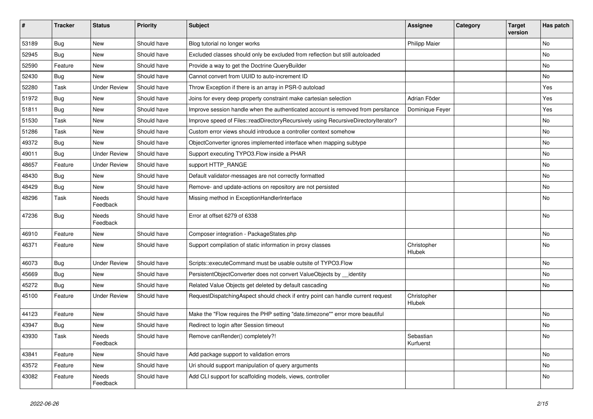| #     | <b>Tracker</b> | <b>Status</b>       | <b>Priority</b> | <b>Subject</b>                                                                     | <b>Assignee</b>        | Category | <b>Target</b><br>version | Has patch |
|-------|----------------|---------------------|-----------------|------------------------------------------------------------------------------------|------------------------|----------|--------------------------|-----------|
| 53189 | Bug            | New                 | Should have     | Blog tutorial no longer works                                                      | <b>Philipp Maier</b>   |          |                          | No        |
| 52945 | <b>Bug</b>     | New                 | Should have     | Excluded classes should only be excluded from reflection but still autoloaded      |                        |          |                          | No        |
| 52590 | Feature        | New                 | Should have     | Provide a way to get the Doctrine QueryBuilder                                     |                        |          |                          | No        |
| 52430 | Bug            | <b>New</b>          | Should have     | Cannot convert from UUID to auto-increment ID                                      |                        |          |                          | No        |
| 52280 | Task           | <b>Under Review</b> | Should have     | Throw Exception if there is an array in PSR-0 autoload                             |                        |          |                          | Yes       |
| 51972 | Bug            | New                 | Should have     | Joins for every deep property constraint make cartesian selection                  | Adrian Föder           |          |                          | Yes       |
| 51811 | <b>Bug</b>     | New                 | Should have     | Improve session handle when the authenticated account is removed from persitance   | Dominique Feyer        |          |                          | Yes       |
| 51530 | Task           | New                 | Should have     | Improve speed of Files::readDirectoryRecursively using RecursiveDirectoryIterator? |                        |          |                          | No        |
| 51286 | Task           | New                 | Should have     | Custom error views should introduce a controller context somehow                   |                        |          |                          | No        |
| 49372 | <b>Bug</b>     | New                 | Should have     | ObjectConverter ignores implemented interface when mapping subtype                 |                        |          |                          | No        |
| 49011 | <b>Bug</b>     | <b>Under Review</b> | Should have     | Support executing TYPO3.Flow inside a PHAR                                         |                        |          |                          | <b>No</b> |
| 48657 | Feature        | <b>Under Review</b> | Should have     | support HTTP_RANGE                                                                 |                        |          |                          | No        |
| 48430 | <b>Bug</b>     | New                 | Should have     | Default validator-messages are not correctly formatted                             |                        |          |                          | No        |
| 48429 | Bug            | New                 | Should have     | Remove- and update-actions on repository are not persisted                         |                        |          |                          | No        |
| 48296 | Task           | Needs<br>Feedback   | Should have     | Missing method in ExceptionHandlerInterface                                        |                        |          |                          | No        |
| 47236 | Bug            | Needs<br>Feedback   | Should have     | Error at offset 6279 of 6338                                                       |                        |          |                          | No        |
| 46910 | Feature        | New                 | Should have     | Composer integration - PackageStates.php                                           |                        |          |                          | <b>No</b> |
| 46371 | Feature        | New                 | Should have     | Support compilation of static information in proxy classes                         | Christopher<br>Hlubek  |          |                          | No        |
| 46073 | Bug            | <b>Under Review</b> | Should have     | Scripts::executeCommand must be usable outsite of TYPO3.Flow                       |                        |          |                          | No        |
| 45669 | <b>Bug</b>     | New                 | Should have     | PersistentObjectConverter does not convert ValueObjects by __identity              |                        |          |                          | No        |
| 45272 | <b>Bug</b>     | New                 | Should have     | Related Value Objects get deleted by default cascading                             |                        |          |                          | No        |
| 45100 | Feature        | <b>Under Review</b> | Should have     | RequestDispatchingAspect should check if entry point can handle current request    | Christopher<br>Hlubek  |          |                          |           |
| 44123 | Feature        | New                 | Should have     | Make the "Flow requires the PHP setting "date.timezone"" error more beautiful      |                        |          |                          | <b>No</b> |
| 43947 | <b>Bug</b>     | New                 | Should have     | Redirect to login after Session timeout                                            |                        |          |                          | No        |
| 43930 | Task           | Needs<br>Feedback   | Should have     | Remove canRender() completely?!                                                    | Sebastian<br>Kurfuerst |          |                          | N0        |
| 43841 | Feature        | New                 | Should have     | Add package support to validation errors                                           |                        |          |                          | No        |
| 43572 | Feature        | New                 | Should have     | Uri should support manipulation of query arguments                                 |                        |          |                          | No        |
| 43082 | Feature        | Needs<br>Feedback   | Should have     | Add CLI support for scaffolding models, views, controller                          |                        |          |                          | No        |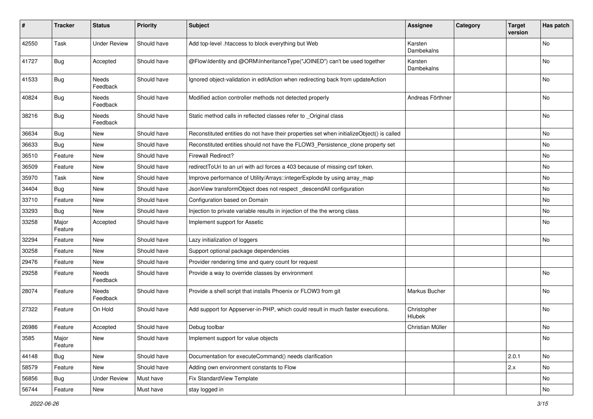| #     | <b>Tracker</b>   | <b>Status</b>       | <b>Priority</b> | <b>Subject</b>                                                                            | <b>Assignee</b>       | Category | <b>Target</b><br>version | Has patch |
|-------|------------------|---------------------|-----------------|-------------------------------------------------------------------------------------------|-----------------------|----------|--------------------------|-----------|
| 42550 | Task             | <b>Under Review</b> | Should have     | Add top-level .htaccess to block everything but Web                                       | Karsten<br>Dambekalns |          |                          | No        |
| 41727 | Bug              | Accepted            | Should have     | @Flow\Identity and @ORM\InheritanceType("JOINED") can't be used together                  | Karsten<br>Dambekalns |          |                          | <b>No</b> |
| 41533 | <b>Bug</b>       | Needs<br>Feedback   | Should have     | Ignored object-validation in editAction when redirecting back from updateAction           |                       |          |                          | No        |
| 40824 | <b>Bug</b>       | Needs<br>Feedback   | Should have     | Modified action controller methods not detected properly                                  | Andreas Förthner      |          |                          | <b>No</b> |
| 38216 | Bug              | Needs<br>Feedback   | Should have     | Static method calls in reflected classes refer to _Original class                         |                       |          |                          | <b>No</b> |
| 36634 | <b>Bug</b>       | <b>New</b>          | Should have     | Reconstituted entities do not have their properties set when initializeObject() is called |                       |          |                          | No        |
| 36633 | Bug              | New                 | Should have     | Reconstituted entities should not have the FLOW3_Persistence_clone property set           |                       |          |                          | <b>No</b> |
| 36510 | Feature          | New                 | Should have     | <b>Firewall Redirect?</b>                                                                 |                       |          |                          | No        |
| 36509 | Feature          | New                 | Should have     | redirect ToUri to an uri with acl forces a 403 because of missing csrf token.             |                       |          |                          | No        |
| 35970 | Task             | New                 | Should have     | Improve performance of Utility/Arrays::integerExplode by using array_map                  |                       |          |                          | No        |
| 34404 | <b>Bug</b>       | New                 | Should have     | JsonView transformObject does not respect descendAll configuration                        |                       |          |                          | No        |
| 33710 | Feature          | New                 | Should have     | Configuration based on Domain                                                             |                       |          |                          | <b>No</b> |
| 33293 | Bug              | New                 | Should have     | Injection to private variable results in injection of the the wrong class                 |                       |          |                          | No        |
| 33258 | Major<br>Feature | Accepted            | Should have     | Implement support for Assetic                                                             |                       |          |                          | No        |
| 32294 | Feature          | New                 | Should have     | Lazy initialization of loggers                                                            |                       |          |                          | <b>No</b> |
| 30258 | Feature          | New                 | Should have     | Support optional package dependencies                                                     |                       |          |                          |           |
| 29476 | Feature          | New                 | Should have     | Provider rendering time and query count for request                                       |                       |          |                          |           |
| 29258 | Feature          | Needs<br>Feedback   | Should have     | Provide a way to override classes by environment                                          |                       |          |                          | <b>No</b> |
| 28074 | Feature          | Needs<br>Feedback   | Should have     | Provide a shell script that installs Phoenix or FLOW3 from git                            | Markus Bucher         |          |                          | No        |
| 27322 | Feature          | On Hold             | Should have     | Add support for Appserver-in-PHP, which could result in much faster executions.           | Christopher<br>Hlubek |          |                          | No        |
| 26986 | Feature          | Accepted            | Should have     | Debug toolbar                                                                             | Christian Müller      |          |                          | No        |
| 3585  | Major<br>Feature | New                 | Should have     | Implement support for value objects                                                       |                       |          |                          | No        |
| 44148 | Bug              | New                 | Should have     | Documentation for executeCommand() needs clarification                                    |                       |          | 2.0.1                    | No        |
| 58579 | Feature          | New                 | Should have     | Adding own environment constants to Flow                                                  |                       |          | 2.x                      | No        |
| 56856 | Bug              | <b>Under Review</b> | Must have       | Fix StandardView Template                                                                 |                       |          |                          | No        |
| 56744 | Feature          | New                 | Must have       | stay logged in                                                                            |                       |          |                          | No        |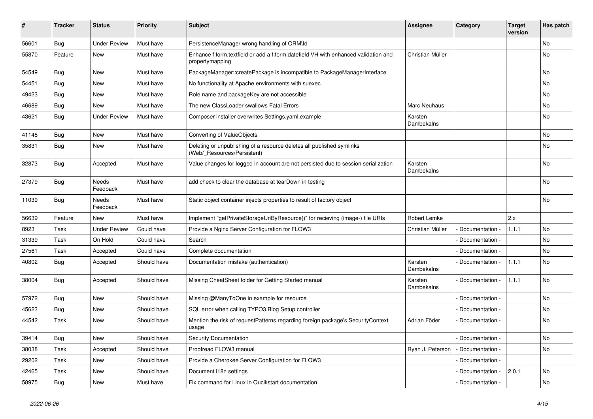| ∦     | <b>Tracker</b> | <b>Status</b>       | <b>Priority</b> | <b>Subject</b>                                                                                        | Assignee              | Category        | <b>Target</b><br>version | Has patch |
|-------|----------------|---------------------|-----------------|-------------------------------------------------------------------------------------------------------|-----------------------|-----------------|--------------------------|-----------|
| 56601 | Bug            | <b>Under Review</b> | Must have       | PersistenceManager wrong handling of ORM\ld                                                           |                       |                 |                          | <b>No</b> |
| 55870 | Feature        | <b>New</b>          | Must have       | Enhance f:form.textfield or add a f:form.datefield VH with enhanced validation and<br>propertymapping | Christian Müller      |                 |                          | <b>No</b> |
| 54549 | Bug            | <b>New</b>          | Must have       | PackageManager::createPackage is incompatible to PackageManagerInterface                              |                       |                 |                          | No        |
| 54451 | Bug            | <b>New</b>          | Must have       | No functionality at Apache environments with suexec                                                   |                       |                 |                          | No        |
| 49423 | Bug            | <b>New</b>          | Must have       | Role name and packageKey are not accessible                                                           |                       |                 |                          | No        |
| 46689 | Bug            | <b>New</b>          | Must have       | The new ClassLoader swallows Fatal Errors                                                             | <b>Marc Neuhaus</b>   |                 |                          | No        |
| 43621 | Bug            | <b>Under Review</b> | Must have       | Composer installer overwrites Settings.yaml.example                                                   | Karsten<br>Dambekalns |                 |                          | No        |
| 41148 | <b>Bug</b>     | <b>New</b>          | Must have       | Converting of ValueObjects                                                                            |                       |                 |                          | No        |
| 35831 | <b>Bug</b>     | <b>New</b>          | Must have       | Deleting or unpublishing of a resource deletes all published symlinks<br>(Web/_Resources/Persistent)  |                       |                 |                          | No        |
| 32873 | Bug            | Accepted            | Must have       | Value changes for logged in account are not persisted due to session serialization                    | Karsten<br>Dambekalns |                 |                          | <b>No</b> |
| 27379 | <b>Bug</b>     | Needs<br>Feedback   | Must have       | add check to clear the database at tearDown in testing                                                |                       |                 |                          | <b>No</b> |
| 11039 | <b>Bug</b>     | Needs<br>Feedback   | Must have       | Static object container injects properties to result of factory object                                |                       |                 |                          | No        |
| 56639 | Feature        | <b>New</b>          | Must have       | Implement "getPrivateStorageUriByResource()" for recieving (image-) file URIs                         | Robert Lemke          |                 | 2.x                      |           |
| 8923  | Task           | <b>Under Review</b> | Could have      | Provide a Nginx Server Configuration for FLOW3                                                        | Christian Müller      | Documentation   | 1.1.1                    | <b>No</b> |
| 31339 | Task           | On Hold             | Could have      | Search                                                                                                |                       | Documentation - |                          | <b>No</b> |
| 27561 | Task           | Accepted            | Could have      | Complete documentation                                                                                |                       | Documentation - |                          | <b>No</b> |
| 40802 | <b>Bug</b>     | Accepted            | Should have     | Documentation mistake (authentication)                                                                | Karsten<br>Dambekalns | Documentation - | 1.1.1                    | <b>No</b> |
| 38004 | Bug            | Accepted            | Should have     | Missing CheatSheet folder for Getting Started manual                                                  | Karsten<br>Dambekalns | Documentation - | 1.1.1                    | <b>No</b> |
| 57972 | Bug            | New                 | Should have     | Missing @ManyToOne in example for resource                                                            |                       | Documentation - |                          | No        |
| 45623 | <b>Bug</b>     | <b>New</b>          | Should have     | SQL error when calling TYPO3. Blog Setup controller                                                   |                       | Documentation - |                          | No        |
| 44542 | Task           | <b>New</b>          | Should have     | Mention the risk of requestPatterns regarding foreign package's SecurityContext<br>usage              | Adrian Föder          | Documentation - |                          | No        |
| 39414 | <b>Bug</b>     | New                 | Should have     | Security Documentation                                                                                |                       | Documentation - |                          | <b>No</b> |
| 38038 | Task           | Accepted            | Should have     | Proofread FLOW3 manual                                                                                | Ryan J. Peterson      | Documentation - |                          | No        |
| 29202 | Task           | <b>New</b>          | Should have     | Provide a Cherokee Server Configuration for FLOW3                                                     |                       | Documentation - |                          |           |
| 42465 | Task           | <b>New</b>          | Should have     | Document i18n settings                                                                                |                       | Documentation   | 2.0.1                    | No        |
| 58975 | Bug            | <b>New</b>          | Must have       | Fix command for Linux in Qucikstart documentation                                                     |                       | Documentation - |                          | No        |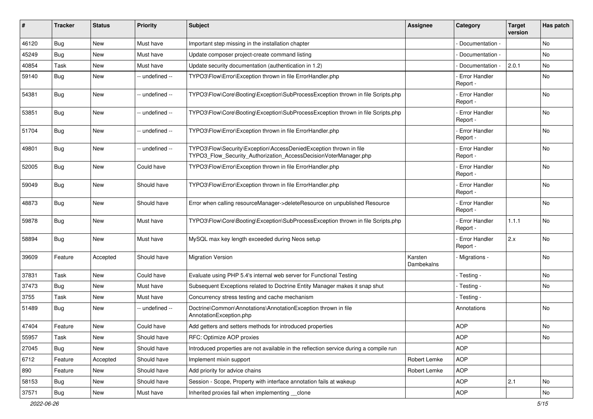| #     | <b>Tracker</b> | <b>Status</b> | <b>Priority</b> | <b>Subject</b>                                                                                                                         | <b>Assignee</b>       | Category                         | <b>Target</b><br>version | Has patch |
|-------|----------------|---------------|-----------------|----------------------------------------------------------------------------------------------------------------------------------------|-----------------------|----------------------------------|--------------------------|-----------|
| 46120 | Bug            | New           | Must have       | Important step missing in the installation chapter                                                                                     |                       | Documentation -                  |                          | No        |
| 45249 | <b>Bug</b>     | New           | Must have       | Update composer project-create command listing                                                                                         |                       | Documentation -                  |                          | No        |
| 40854 | Task           | New           | Must have       | Update security documentation (authentication in 1.2)                                                                                  |                       | Documentation -                  | 2.0.1                    | No        |
| 59140 | <b>Bug</b>     | New           | -- undefined -- | TYPO3\Flow\Error\Exception thrown in file ErrorHandler.php                                                                             |                       | - Error Handler<br>Report -      |                          | No        |
| 54381 | Bug            | New           | -- undefined -- | TYPO3\Flow\Core\Booting\Exception\SubProcessException thrown in file Scripts.php                                                       |                       | <b>Error Handler</b><br>Report - |                          | No.       |
| 53851 | <b>Bug</b>     | <b>New</b>    | -- undefined -- | TYPO3\Flow\Core\Booting\Exception\SubProcessException thrown in file Scripts.php                                                       |                       | <b>Error Handler</b><br>Report - |                          | No        |
| 51704 | <b>Bug</b>     | New           | -- undefined -- | TYPO3\Flow\Error\Exception thrown in file ErrorHandler.php                                                                             |                       | <b>Error Handler</b><br>Report - |                          | No        |
| 49801 | Bug            | <b>New</b>    | -- undefined -- | TYPO3\Flow\Security\Exception\AccessDeniedException thrown in file<br>TYPO3_Flow_Security_Authorization_AccessDecisionVoterManager.php |                       | <b>Error Handler</b><br>Report - |                          | No        |
| 52005 | <b>Bug</b>     | <b>New</b>    | Could have      | TYPO3\Flow\Error\Exception thrown in file ErrorHandler.php                                                                             |                       | - Error Handler<br>Report -      |                          | <b>No</b> |
| 59049 | Bug            | New           | Should have     | TYPO3\Flow\Error\Exception thrown in file ErrorHandler.php                                                                             |                       | <b>Error Handler</b><br>Report - |                          | No        |
| 48873 | <b>Bug</b>     | New           | Should have     | Error when calling resourceManager->deleteResource on unpublished Resource                                                             |                       | - Error Handler<br>Report -      |                          | No        |
| 59878 | Bug            | <b>New</b>    | Must have       | TYPO3\Flow\Core\Booting\Exception\SubProcessException thrown in file Scripts.php                                                       |                       | <b>Error Handler</b><br>Report - | 1.1.1                    | <b>No</b> |
| 58894 | <b>Bug</b>     | New           | Must have       | MySQL max key length exceeded during Neos setup                                                                                        |                       | <b>Error Handler</b><br>Report - | 2.x                      | <b>No</b> |
| 39609 | Feature        | Accepted      | Should have     | <b>Migration Version</b>                                                                                                               | Karsten<br>Dambekalns | - Migrations -                   |                          | <b>No</b> |
| 37831 | Task           | <b>New</b>    | Could have      | Evaluate using PHP 5.4's internal web server for Functional Testing                                                                    |                       | - Testing -                      |                          | No        |
| 37473 | <b>Bug</b>     | New           | Must have       | Subsequent Exceptions related to Doctrine Entity Manager makes it snap shut                                                            |                       | · Testing -                      |                          | No        |
| 3755  | Task           | New           | Must have       | Concurrency stress testing and cache mechanism                                                                                         |                       | - Testing -                      |                          |           |
| 51489 | <b>Bug</b>     | New           | -- undefined -- | Doctrine\Common\Annotations\AnnotationException thrown in file<br>AnnotationException.php                                              |                       | Annotations                      |                          | No        |
| 47404 | Feature        | <b>New</b>    | Could have      | Add getters and setters methods for introduced properties                                                                              |                       | <b>AOP</b>                       |                          | No        |
| 55957 | Task           | New           | Should have     | RFC: Optimize AOP proxies                                                                                                              |                       | <b>AOP</b>                       |                          | No        |
| 27045 | Bug            | New           | Should have     | Introduced properties are not available in the reflection service during a compile run                                                 |                       | <b>AOP</b>                       |                          |           |
| 6712  | Feature        | Accepted      | Should have     | Implement mixin support                                                                                                                | Robert Lemke          | <b>AOP</b>                       |                          |           |
| 890   | Feature        | New           | Should have     | Add priority for advice chains                                                                                                         | Robert Lemke          | <b>AOP</b>                       |                          |           |
| 58153 | Bug            | New           | Should have     | Session - Scope, Property with interface annotation fails at wakeup                                                                    |                       | <b>AOP</b>                       | 2.1                      | No        |
| 37571 | <b>Bug</b>     | New           | Must have       | Inherited proxies fail when implementing __clone                                                                                       |                       | AOP                              |                          | No        |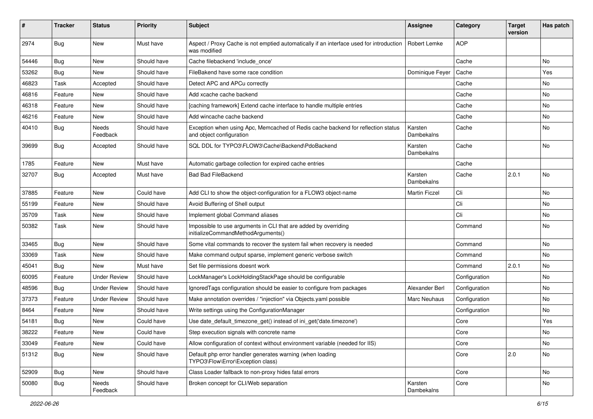| ∦     | <b>Tracker</b> | <b>Status</b>       | <b>Priority</b> | Subject                                                                                                      | Assignee              | Category      | <b>Target</b><br>version | Has patch |
|-------|----------------|---------------------|-----------------|--------------------------------------------------------------------------------------------------------------|-----------------------|---------------|--------------------------|-----------|
| 2974  | <b>Bug</b>     | <b>New</b>          | Must have       | Aspect / Proxy Cache is not emptied automatically if an interface used for introduction<br>was modified      | Robert Lemke          | <b>AOP</b>    |                          |           |
| 54446 | <b>Bug</b>     | New                 | Should have     | Cache filebackend 'include_once'                                                                             |                       | Cache         |                          | No.       |
| 53262 | Bug            | <b>New</b>          | Should have     | FileBakend have some race condition                                                                          | Dominique Feyer       | Cache         |                          | Yes       |
| 46823 | Task           | Accepted            | Should have     | Detect APC and APCu correctly                                                                                |                       | Cache         |                          | No        |
| 46816 | Feature        | <b>New</b>          | Should have     | Add xcache cache backend                                                                                     |                       | Cache         |                          | No.       |
| 46318 | Feature        | <b>New</b>          | Should have     | [caching framework] Extend cache interface to handle multiple entries                                        |                       | Cache         |                          | No        |
| 46216 | Feature        | <b>New</b>          | Should have     | Add wincache cache backend                                                                                   |                       | Cache         |                          | No        |
| 40410 | <b>Bug</b>     | Needs<br>Feedback   | Should have     | Exception when using Apc, Memcached of Redis cache backend for reflection status<br>and object configuration | Karsten<br>Dambekalns | Cache         |                          | No        |
| 39699 | <b>Bug</b>     | Accepted            | Should have     | SQL DDL for TYPO3\FLOW3\Cache\Backend\PdoBackend                                                             | Karsten<br>Dambekalns | Cache         |                          | No        |
| 1785  | Feature        | New                 | Must have       | Automatic garbage collection for expired cache entries                                                       |                       | Cache         |                          |           |
| 32707 | <b>Bug</b>     | Accepted            | Must have       | <b>Bad Bad FileBackend</b>                                                                                   | Karsten<br>Dambekalns | Cache         | 2.0.1                    | No        |
| 37885 | Feature        | <b>New</b>          | Could have      | Add CLI to show the object-configuration for a FLOW3 object-name                                             | <b>Martin Ficzel</b>  | Cli           |                          | No        |
| 55199 | Feature        | <b>New</b>          | Should have     | Avoid Buffering of Shell output                                                                              |                       | Cli           |                          | No.       |
| 35709 | Task           | New                 | Should have     | Implement global Command aliases                                                                             |                       | Cli           |                          | No        |
| 50382 | Task           | <b>New</b>          | Should have     | Impossible to use arguments in CLI that are added by overriding<br>initializeCommandMethodArguments()        |                       | Command       |                          | No        |
| 33465 | <b>Bug</b>     | <b>New</b>          | Should have     | Some vital commands to recover the system fail when recovery is needed                                       |                       | Command       |                          | No        |
| 33069 | Task           | <b>New</b>          | Should have     | Make command output sparse, implement generic verbose switch                                                 |                       | Command       |                          | No        |
| 45041 | <b>Bug</b>     | New                 | Must have       | Set file permissions doesnt work                                                                             |                       | Command       | 2.0.1                    | No        |
| 60095 | Feature        | <b>Under Review</b> | Should have     | LockManager's LockHoldingStackPage should be configurable                                                    |                       | Configuration |                          | No        |
| 48596 | Bug            | <b>Under Review</b> | Should have     | IgnoredTags configuration should be easier to configure from packages                                        | Alexander Berl        | Configuration |                          | No        |
| 37373 | Feature        | <b>Under Review</b> | Should have     | Make annotation overrides / "injection" via Objects.yaml possible                                            | Marc Neuhaus          | Configuration |                          | No        |
| 8464  | Feature        | <b>New</b>          | Should have     | Write settings using the ConfigurationManager                                                                |                       | Configuration |                          | No        |
| 54181 | Bug            | <b>New</b>          | Could have      | Use date_default_timezone_get() instead of ini_get('date.timezone')                                          |                       | Core          |                          | Yes       |
| 38222 | Feature        | <b>New</b>          | Could have      | Step execution signals with concrete name                                                                    |                       | Core          |                          | No        |
| 33049 | Feature        | New                 | Could have      | Allow configuration of context without environment variable (needed for IIS)                                 |                       | Core          |                          | No        |
| 51312 | Bug            | New                 | Should have     | Default php error handler generates warning (when loading<br>TYPO3\Flow\Error\Exception class)               |                       | Core          | 2.0                      | No        |
| 52909 | Bug            | New                 | Should have     | Class Loader fallback to non-proxy hides fatal errors                                                        |                       | Core          |                          | No        |
| 50080 | <b>Bug</b>     | Needs<br>Feedback   | Should have     | Broken concept for CLI/Web separation                                                                        | Karsten<br>Dambekalns | Core          |                          | No        |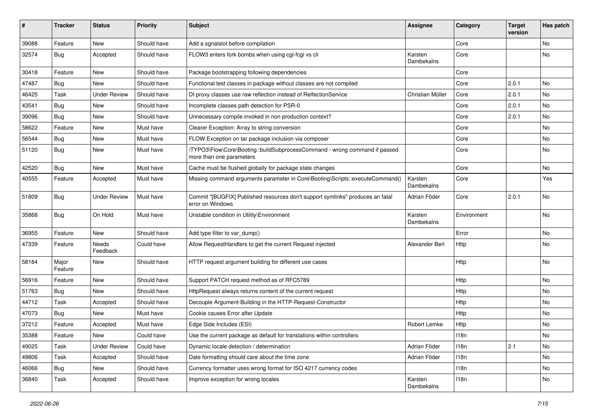| ∦     | <b>Tracker</b>   | <b>Status</b>       | <b>Priority</b> | <b>Subject</b>                                                                                         | <b>Assignee</b>       | Category    | <b>Target</b><br>version | Has patch  |
|-------|------------------|---------------------|-----------------|--------------------------------------------------------------------------------------------------------|-----------------------|-------------|--------------------------|------------|
| 39088 | Feature          | New                 | Should have     | Add a sgnalslot before compilation                                                                     |                       | Core        |                          | No         |
| 32574 | <b>Bug</b>       | Accepted            | Should have     | FLOW3 enters fork bombs when using cgi-fcgi vs cli                                                     | Karsten<br>Dambekalns | Core        |                          | No         |
| 30418 | Feature          | <b>New</b>          | Should have     | Package bootstrapping following dependencies                                                           |                       | Core        |                          |            |
| 47487 | <b>Bug</b>       | <b>New</b>          | Should have     | Functional test classes in package without classes are not compiled                                    |                       | Core        | 2.0.1                    | No.        |
| 46425 | Task             | <b>Under Review</b> | Should have     | DI proxy classes use raw reflection instead of RelfectionService                                       | Christian Müller      | Core        | 2.0.1                    | No         |
| 43541 | Bug              | New                 | Should have     | Incomplete classes path detection for PSR-0                                                            |                       | Core        | 2.0.1                    | No         |
| 39096 | <b>Bug</b>       | New                 | Should have     | Unnecessary compile invoked in non production context?                                                 |                       | Core        | 2.0.1                    | No         |
| 58622 | Feature          | New                 | Must have       | Clearer Exception: Array to string conversion                                                          |                       | Core        |                          | No         |
| 56544 | <b>Bug</b>       | New                 | Must have       | FLOW Exception on tar package inclusion via composer                                                   |                       | Core        |                          | No         |
| 51120 | <b>Bug</b>       | New                 | Must have       | \TYPO3\Flow\Core\Booting::buildSubprocessCommand - wrong command if passed<br>more than one parameters |                       | Core        |                          | No         |
| 42520 | Bug              | <b>New</b>          | Must have       | Cache must be flushed globally for package state changes                                               |                       | Core        |                          | No         |
| 40555 | Feature          | Accepted            | Must have       | Missing command arguments parameter in Core\Booting\Scripts::executeCommand()                          | Karsten<br>Dambekalns | Core        |                          | Yes        |
| 51809 | Bug              | <b>Under Review</b> | Must have       | Commit "[BUGFIX] Published resources don't support symlinks" produces an fatal<br>error on Windows     | Adrian Föder          | Core        | 2.0.1                    | No         |
| 35868 | Bug              | On Hold             | Must have       | Unstable condition in Utility\Environment                                                              | Karsten<br>Dambekalns | Environment |                          | No         |
| 36955 | Feature          | <b>New</b>          | Should have     | Add type filter to var_dump()                                                                          |                       | Error       |                          | No         |
| 47339 | Feature          | Needs<br>Feedback   | Could have      | Allow RequestHandlers to get the current Request injected                                              | Alexander Berl        | Http        |                          | No         |
| 58184 | Major<br>Feature | New                 | Should have     | HTTP request argument building for different use cases                                                 |                       | Http        |                          | No         |
| 56916 | Feature          | New                 | Should have     | Support PATCH request method as of RFC5789                                                             |                       | Http        |                          | No         |
| 51763 | <b>Bug</b>       | New                 | Should have     | HttpRequest always returns content of the current request                                              |                       | Http        |                          | No         |
| 44712 | Task             | Accepted            | Should have     | Decouple Argument-Building in the HTTP-Request-Constructor                                             |                       | Http        |                          | No         |
| 47073 | <b>Bug</b>       | New                 | Must have       | Cookie causes Error after Update                                                                       |                       | Http        |                          | No         |
| 37212 | Feature          | Accepted            | Must have       | Edge Side Includes (ESI)                                                                               | Robert Lemke          | Http        |                          | No         |
| 35388 | Feature          | New                 | Could have      | Use the current package as default for translations within controllers                                 |                       | 118n        |                          | <b>INO</b> |
| 49025 | Task             | <b>Under Review</b> | Could have      | Dynamic locale detection / determination                                                               | Adrian Föder          | 118n        | 2.1                      | No         |
| 49806 | Task             | Accepted            | Should have     | Date formatting should care about the time zone                                                        | Adrian Föder          | 118n        |                          | No         |
| 46066 | <b>Bug</b>       | New                 | Should have     | Currency formatter uses wrong format for ISO 4217 currency codes                                       |                       | 118n        |                          | No         |
| 36840 | Task             | Accepted            | Should have     | Improve exception for wrong locales                                                                    | Karsten<br>Dambekalns | 118n        |                          | No         |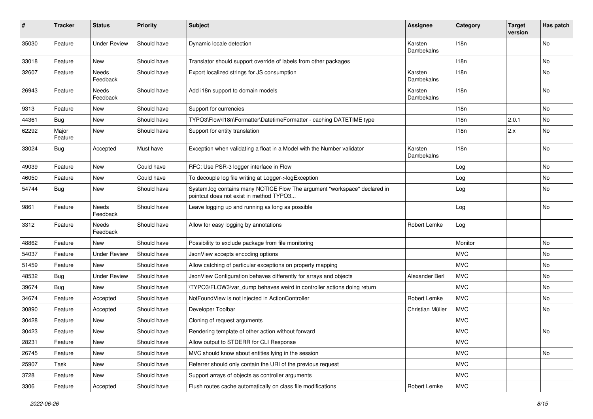| #     | <b>Tracker</b>   | <b>Status</b>       | <b>Priority</b> | <b>Subject</b>                                                                                                       | <b>Assignee</b>       | Category   | <b>Target</b><br>version | Has patch |
|-------|------------------|---------------------|-----------------|----------------------------------------------------------------------------------------------------------------------|-----------------------|------------|--------------------------|-----------|
| 35030 | Feature          | <b>Under Review</b> | Should have     | Dynamic locale detection                                                                                             | Karsten<br>Dambekalns | 118n       |                          | No        |
| 33018 | Feature          | New                 | Should have     | Translator should support override of labels from other packages                                                     |                       | 118n       |                          | No        |
| 32607 | Feature          | Needs<br>Feedback   | Should have     | Export localized strings for JS consumption                                                                          | Karsten<br>Dambekalns | 118n       |                          | No        |
| 26943 | Feature          | Needs<br>Feedback   | Should have     | Add i18n support to domain models                                                                                    | Karsten<br>Dambekalns | 118n       |                          | No        |
| 9313  | Feature          | New                 | Should have     | Support for currencies                                                                                               |                       | 118n       |                          | No        |
| 44361 | <b>Bug</b>       | New                 | Should have     | TYPO3\Flow\I18n\Formatter\DatetimeFormatter - caching DATETIME type                                                  |                       | 118n       | 2.0.1                    | No        |
| 62292 | Major<br>Feature | New                 | Should have     | Support for entity translation                                                                                       |                       | 118n       | 2.x                      | No        |
| 33024 | Bug              | Accepted            | Must have       | Exception when validating a float in a Model with the Number validator                                               | Karsten<br>Dambekalns | 118n       |                          | No        |
| 49039 | Feature          | New                 | Could have      | RFC: Use PSR-3 logger interface in Flow                                                                              |                       | Log        |                          | No        |
| 46050 | Feature          | New                 | Could have      | To decouple log file writing at Logger->logException                                                                 |                       | Log        |                          | No        |
| 54744 | <b>Bug</b>       | New                 | Should have     | System.log contains many NOTICE Flow The argument "workspace" declared in<br>pointcut does not exist in method TYPO3 |                       | Log        |                          | No        |
| 9861  | Feature          | Needs<br>Feedback   | Should have     | Leave logging up and running as long as possible                                                                     |                       | Log        |                          | No        |
| 3312  | Feature          | Needs<br>Feedback   | Should have     | Allow for easy logging by annotations                                                                                | Robert Lemke          | Log        |                          |           |
| 48862 | Feature          | New                 | Should have     | Possibility to exclude package from file monitoring                                                                  |                       | Monitor    |                          | No        |
| 54037 | Feature          | <b>Under Review</b> | Should have     | JsonView accepts encoding options                                                                                    |                       | <b>MVC</b> |                          | No        |
| 51459 | Feature          | New                 | Should have     | Allow catching of particular exceptions on property mapping                                                          |                       | <b>MVC</b> |                          | No        |
| 48532 | <b>Bug</b>       | <b>Under Review</b> | Should have     | JsonView Configuration behaves differently for arrays and objects                                                    | Alexander Berl        | <b>MVC</b> |                          | No.       |
| 39674 | Bug              | New                 | Should have     | \TYPO3\FLOW3\var_dump behaves weird in controller actions doing return                                               |                       | <b>MVC</b> |                          | No        |
| 34674 | Feature          | Accepted            | Should have     | NotFoundView is not injected in ActionController                                                                     | Robert Lemke          | <b>MVC</b> |                          | No        |
| 30890 | Feature          | Accepted            | Should have     | Developer Toolbar                                                                                                    | Christian Müller      | <b>MVC</b> |                          | No        |
| 30428 | Feature          | New                 | Should have     | Cloning of request arguments                                                                                         |                       | <b>MVC</b> |                          |           |
| 30423 | Feature          | New                 | Should have     | Rendering template of other action without forward                                                                   |                       | <b>MVC</b> |                          | No        |
| 28231 | Feature          | New                 | Should have     | Allow output to STDERR for CLI Response                                                                              |                       | <b>MVC</b> |                          |           |
| 26745 | Feature          | New                 | Should have     | MVC should know about entities lying in the session                                                                  |                       | <b>MVC</b> |                          | No        |
| 25907 | Task             | New                 | Should have     | Referrer should only contain the URI of the previous request                                                         |                       | <b>MVC</b> |                          |           |
| 3728  | Feature          | New                 | Should have     | Support arrays of objects as controller arguments                                                                    |                       | <b>MVC</b> |                          |           |
| 3306  | Feature          | Accepted            | Should have     | Flush routes cache automatically on class file modifications                                                         | Robert Lemke          | <b>MVC</b> |                          |           |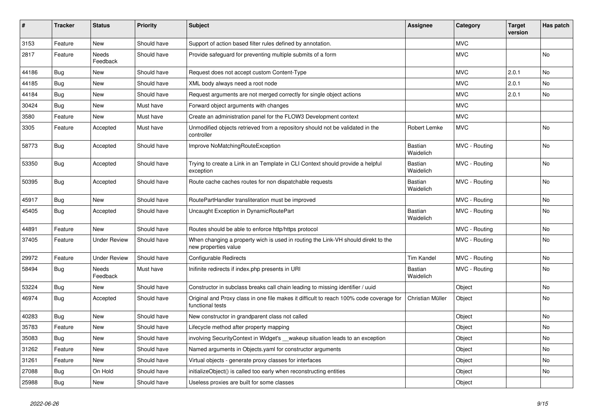| ∦     | <b>Tracker</b> | <b>Status</b>            | <b>Priority</b> | <b>Subject</b>                                                                                              | <b>Assignee</b>      | Category      | <b>Target</b><br>version | Has patch |
|-------|----------------|--------------------------|-----------------|-------------------------------------------------------------------------------------------------------------|----------------------|---------------|--------------------------|-----------|
| 3153  | Feature        | <b>New</b>               | Should have     | Support of action based filter rules defined by annotation.                                                 |                      | <b>MVC</b>    |                          |           |
| 2817  | Feature        | <b>Needs</b><br>Feedback | Should have     | Provide safeguard for preventing multiple submits of a form                                                 |                      | <b>MVC</b>    |                          | <b>No</b> |
| 44186 | Bug            | <b>New</b>               | Should have     | Request does not accept custom Content-Type                                                                 |                      | <b>MVC</b>    | 2.0.1                    | No        |
| 44185 | Bug            | <b>New</b>               | Should have     | XML body always need a root node                                                                            |                      | <b>MVC</b>    | 2.0.1                    | No        |
| 44184 | Bug            | <b>New</b>               | Should have     | Request arguments are not merged correctly for single object actions                                        |                      | <b>MVC</b>    | 2.0.1                    | No        |
| 30424 | <b>Bug</b>     | <b>New</b>               | Must have       | Forward object arguments with changes                                                                       |                      | <b>MVC</b>    |                          |           |
| 3580  | Feature        | <b>New</b>               | Must have       | Create an administration panel for the FLOW3 Development context                                            |                      | <b>MVC</b>    |                          |           |
| 3305  | Feature        | Accepted                 | Must have       | Unmodified objects retrieved from a repository should not be validated in the<br>controller                 | Robert Lemke         | <b>MVC</b>    |                          | No        |
| 58773 | <b>Bug</b>     | Accepted                 | Should have     | Improve NoMatchingRouteException                                                                            | Bastian<br>Waidelich | MVC - Routing |                          | <b>No</b> |
| 53350 | <b>Bug</b>     | Accepted                 | Should have     | Trying to create a Link in an Template in CLI Context should provide a helpful<br>exception                 | Bastian<br>Waidelich | MVC - Routing |                          | <b>No</b> |
| 50395 | Bug            | Accepted                 | Should have     | Route cache caches routes for non dispatchable requests                                                     | Bastian<br>Waidelich | MVC - Routing |                          | <b>No</b> |
| 45917 | Bug            | <b>New</b>               | Should have     | RoutePartHandler transliteration must be improved                                                           |                      | MVC - Routing |                          | No        |
| 45405 | <b>Bug</b>     | Accepted                 | Should have     | Uncaught Exception in DynamicRoutePart                                                                      | Bastian<br>Waidelich | MVC - Routing |                          | <b>No</b> |
| 44891 | Feature        | <b>New</b>               | Should have     | Routes should be able to enforce http/https protocol                                                        |                      | MVC - Routing |                          | No        |
| 37405 | Feature        | <b>Under Review</b>      | Should have     | When changing a property wich is used in routing the Link-VH should direkt to the<br>new properties value   |                      | MVC - Routing |                          | No        |
| 29972 | Feature        | <b>Under Review</b>      | Should have     | Configurable Redirects                                                                                      | Tim Kandel           | MVC - Routing |                          | <b>No</b> |
| 58494 | <b>Bug</b>     | Needs<br>Feedback        | Must have       | Inifinite redirects if index.php presents in URI                                                            | Bastian<br>Waidelich | MVC - Routing |                          | <b>No</b> |
| 53224 | Bug            | <b>New</b>               | Should have     | Constructor in subclass breaks call chain leading to missing identifier / uuid                              |                      | Object        |                          | <b>No</b> |
| 46974 | Bug            | Accepted                 | Should have     | Original and Proxy class in one file makes it difficult to reach 100% code coverage for<br>functional tests | Christian Müller     | Object        |                          | <b>No</b> |
| 40283 | Bug            | <b>New</b>               | Should have     | New constructor in grandparent class not called                                                             |                      | Object        |                          | No        |
| 35783 | Feature        | <b>New</b>               | Should have     | Lifecycle method after property mapping                                                                     |                      | Object        |                          | No        |
| 35083 | <b>Bug</b>     | <b>New</b>               | Should have     | involving Security Context in Widget's __wakeup situation leads to an exception                             |                      | Object        |                          | No        |
| 31262 | Feature        | <b>New</b>               | Should have     | Named arguments in Objects yaml for constructor arguments                                                   |                      | Object        |                          | No        |
| 31261 | Feature        | <b>New</b>               | Should have     | Virtual objects - generate proxy classes for interfaces                                                     |                      | Object        |                          | No        |
| 27088 | <b>Bug</b>     | On Hold                  | Should have     | initializeObject() is called too early when reconstructing entities                                         |                      | Object        |                          | No        |
| 25988 | <b>Bug</b>     | <b>New</b>               | Should have     | Useless proxies are built for some classes                                                                  |                      | Object        |                          |           |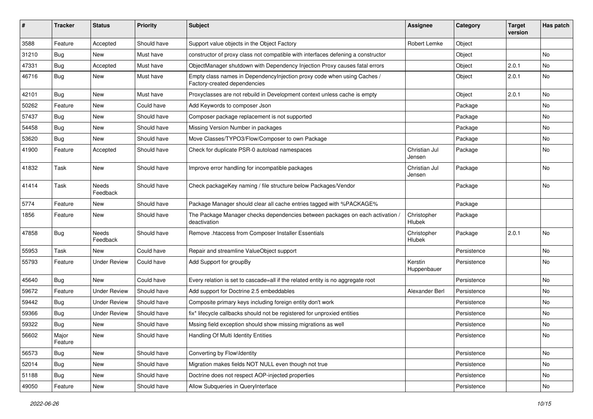| #     | <b>Tracker</b>   | <b>Status</b>       | <b>Priority</b> | <b>Subject</b>                                                                                          | <b>Assignee</b>         | Category    | <b>Target</b><br>version | Has patch |
|-------|------------------|---------------------|-----------------|---------------------------------------------------------------------------------------------------------|-------------------------|-------------|--------------------------|-----------|
| 3588  | Feature          | Accepted            | Should have     | Support value objects in the Object Factory                                                             | Robert Lemke            | Object      |                          |           |
| 31210 | <b>Bug</b>       | New                 | Must have       | constructor of proxy class not compatible with interfaces defening a constructor                        |                         | Object      |                          | No        |
| 47331 | Bug              | Accepted            | Must have       | ObjectManager shutdown with Dependency Injection Proxy causes fatal errors                              |                         | Object      | 2.0.1                    | No        |
| 46716 | <b>Bug</b>       | New                 | Must have       | Empty class names in DependencyInjection proxy code when using Caches /<br>Factory-created dependencies |                         | Object      | 2.0.1                    | No        |
| 42101 | <b>Bug</b>       | New                 | Must have       | Proxyclasses are not rebuild in Development context unless cache is empty                               |                         | Object      | 2.0.1                    | <b>No</b> |
| 50262 | Feature          | New                 | Could have      | Add Keywords to composer Json                                                                           |                         | Package     |                          | No        |
| 57437 | <b>Bug</b>       | New                 | Should have     | Composer package replacement is not supported                                                           |                         | Package     |                          | No        |
| 54458 | Bug              | New                 | Should have     | Missing Version Number in packages                                                                      |                         | Package     |                          | No        |
| 53620 | <b>Bug</b>       | New                 | Should have     | Move Classes/TYPO3/Flow/Composer to own Package                                                         |                         | Package     |                          | No        |
| 41900 | Feature          | Accepted            | Should have     | Check for duplicate PSR-0 autoload namespaces                                                           | Christian Jul<br>Jensen | Package     |                          | No        |
| 41832 | Task             | New                 | Should have     | Improve error handling for incompatible packages                                                        | Christian Jul<br>Jensen | Package     |                          | No        |
| 41414 | Task             | Needs<br>Feedback   | Should have     | Check packageKey naming / file structure below Packages/Vendor                                          |                         | Package     |                          | No        |
| 5774  | Feature          | New                 | Should have     | Package Manager should clear all cache entries tagged with %PACKAGE%                                    |                         | Package     |                          |           |
| 1856  | Feature          | New                 | Should have     | The Package Manager checks dependencies between packages on each activation<br>deactivation             | Christopher<br>Hlubek   | Package     |                          |           |
| 47858 | <b>Bug</b>       | Needs<br>Feedback   | Should have     | Remove .htaccess from Composer Installer Essentials                                                     | Christopher<br>Hlubek   | Package     | 2.0.1                    | No        |
| 55953 | Task             | New                 | Could have      | Repair and streamline ValueObject support                                                               |                         | Persistence |                          | No        |
| 55793 | Feature          | <b>Under Review</b> | Could have      | Add Support for groupBy                                                                                 | Kerstin<br>Huppenbauer  | Persistence |                          | No        |
| 45640 | <b>Bug</b>       | New                 | Could have      | Every relation is set to cascade=all if the related entity is no aggregate root                         |                         | Persistence |                          | <b>No</b> |
| 59672 | Feature          | <b>Under Review</b> | Should have     | Add support for Doctrine 2.5 embeddables                                                                | Alexander Berl          | Persistence |                          | No        |
| 59442 | <b>Bug</b>       | <b>Under Review</b> | Should have     | Composite primary keys including foreign entity don't work                                              |                         | Persistence |                          | No        |
| 59366 | <b>Bug</b>       | <b>Under Review</b> | Should have     | fix* lifecycle callbacks should not be registered for unproxied entities                                |                         | Persistence |                          | No        |
| 59322 | Bug              | New                 | Should have     | Mssing field exception should show missing migrations as well                                           |                         | Persistence |                          | No        |
| 56602 | Major<br>Feature | New                 | Should have     | Handling Of Multi Identity Entities                                                                     |                         | Persistence |                          | No        |
| 56573 | Bug              | New                 | Should have     | Converting by Flow\Identity                                                                             |                         | Persistence |                          | No        |
| 52014 | Bug              | New                 | Should have     | Migration makes fields NOT NULL even though not true                                                    |                         | Persistence |                          | No        |
| 51188 | Bug              | New                 | Should have     | Doctrine does not respect AOP-injected properties                                                       |                         | Persistence |                          | No        |
| 49050 | Feature          | New                 | Should have     | Allow Subqueries in QueryInterface                                                                      |                         | Persistence |                          | No        |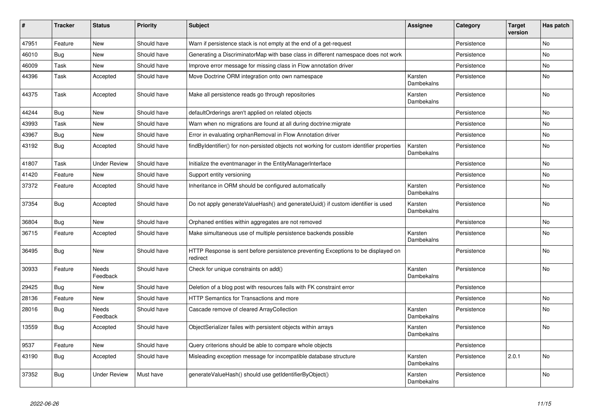| #     | <b>Tracker</b> | <b>Status</b>            | <b>Priority</b> | <b>Subject</b>                                                                                | <b>Assignee</b>       | Category    | <b>Target</b><br>version | Has patch      |
|-------|----------------|--------------------------|-----------------|-----------------------------------------------------------------------------------------------|-----------------------|-------------|--------------------------|----------------|
| 47951 | Feature        | <b>New</b>               | Should have     | Warn if persistence stack is not empty at the end of a get-request                            |                       | Persistence |                          | <b>No</b>      |
| 46010 | Bug            | <b>New</b>               | Should have     | Generating a DiscriminatorMap with base class in different namespace does not work            |                       | Persistence |                          | No             |
| 46009 | Task           | New                      | Should have     | Improve error message for missing class in Flow annotation driver                             |                       | Persistence |                          | No             |
| 44396 | Task           | Accepted                 | Should have     | Move Doctrine ORM integration onto own namespace                                              | Karsten<br>Dambekalns | Persistence |                          | No             |
| 44375 | Task           | Accepted                 | Should have     | Make all persistence reads go through repositories                                            | Karsten<br>Dambekalns | Persistence |                          | <b>No</b>      |
| 44244 | <b>Bug</b>     | <b>New</b>               | Should have     | defaultOrderings aren't applied on related objects                                            |                       | Persistence |                          | No             |
| 43993 | Task           | <b>New</b>               | Should have     | Warn when no migrations are found at all during doctrine: migrate                             |                       | Persistence |                          | No             |
| 43967 | Bug            | <b>New</b>               | Should have     | Error in evaluating orphanRemoval in Flow Annotation driver                                   |                       | Persistence |                          | No             |
| 43192 | Bug            | Accepted                 | Should have     | findByIdentifier() for non-persisted objects not working for custom identifier properties     | Karsten<br>Dambekalns | Persistence |                          | No             |
| 41807 | Task           | <b>Under Review</b>      | Should have     | Initialize the eventmanager in the EntityManagerInterface                                     |                       | Persistence |                          | No.            |
| 41420 | Feature        | New                      | Should have     | Support entity versioning                                                                     |                       | Persistence |                          | No             |
| 37372 | Feature        | Accepted                 | Should have     | Inheritance in ORM should be configured automatically                                         | Karsten<br>Dambekalns | Persistence |                          | No             |
| 37354 | <b>Bug</b>     | Accepted                 | Should have     | Do not apply generateValueHash() and generateUuid() if custom identifier is used              | Karsten<br>Dambekalns | Persistence |                          | N <sub>o</sub> |
| 36804 | Bug            | <b>New</b>               | Should have     | Orphaned entities within aggregates are not removed                                           |                       | Persistence |                          | N <sub>o</sub> |
| 36715 | Feature        | Accepted                 | Should have     | Make simultaneous use of multiple persistence backends possible                               | Karsten<br>Dambekalns | Persistence |                          | No             |
| 36495 | <b>Bug</b>     | <b>New</b>               | Should have     | HTTP Response is sent before persistence preventing Exceptions to be displayed on<br>redirect |                       | Persistence |                          | No             |
| 30933 | Feature        | <b>Needs</b><br>Feedback | Should have     | Check for unique constraints on add()                                                         | Karsten<br>Dambekalns | Persistence |                          | <b>No</b>      |
| 29425 | <b>Bug</b>     | New                      | Should have     | Deletion of a blog post with resources fails with FK constraint error                         |                       | Persistence |                          |                |
| 28136 | Feature        | <b>New</b>               | Should have     | HTTP Semantics for Transactions and more                                                      |                       | Persistence |                          | N <sub>o</sub> |
| 28016 | Bug            | Needs<br>Feedback        | Should have     | Cascade remove of cleared ArrayCollection                                                     | Karsten<br>Dambekalns | Persistence |                          | No             |
| 13559 | <b>Bug</b>     | Accepted                 | Should have     | ObjectSerializer failes with persistent objects within arrays                                 | Karsten<br>Dambekalns | Persistence |                          | No             |
| 9537  | Feature        | <b>New</b>               | Should have     | Query criterions should be able to compare whole objects                                      |                       | Persistence |                          |                |
| 43190 | Bug            | Accepted                 | Should have     | Misleading exception message for incompatible database structure                              | Karsten<br>Dambekalns | Persistence | 2.0.1                    | <b>No</b>      |
| 37352 | <b>Bug</b>     | <b>Under Review</b>      | Must have       | generateValueHash() should use getIdentifierByObject()                                        | Karsten<br>Dambekalns | Persistence |                          | No             |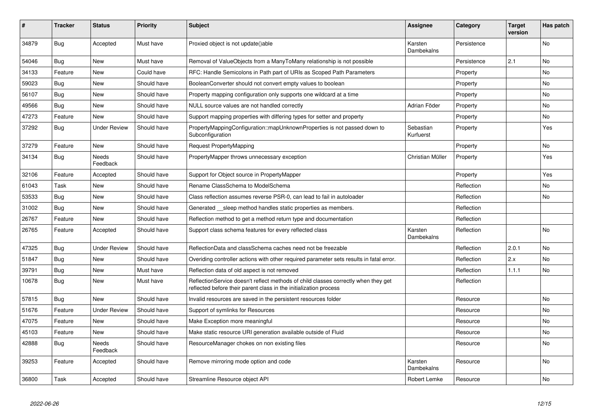| ∦     | <b>Tracker</b> | <b>Status</b>            | <b>Priority</b> | <b>Subject</b>                                                                                                                                          | <b>Assignee</b>              | Category    | <b>Target</b><br>version | Has patch      |
|-------|----------------|--------------------------|-----------------|---------------------------------------------------------------------------------------------------------------------------------------------------------|------------------------------|-------------|--------------------------|----------------|
| 34879 | <b>Bug</b>     | Accepted                 | Must have       | Proxied object is not update()able                                                                                                                      | Karsten<br>Dambekalns        | Persistence |                          | <b>No</b>      |
| 54046 | Bug            | <b>New</b>               | Must have       | Removal of ValueObjects from a ManyToMany relationship is not possible                                                                                  |                              | Persistence | 2.1                      | <b>No</b>      |
| 34133 | Feature        | <b>New</b>               | Could have      | RFC: Handle Semicolons in Path part of URIs as Scoped Path Parameters                                                                                   |                              | Property    |                          | <b>No</b>      |
| 59023 | <b>Bug</b>     | <b>New</b>               | Should have     | BooleanConverter should not convert empty values to boolean                                                                                             |                              | Property    |                          | <b>No</b>      |
| 56107 | Bug            | <b>New</b>               | Should have     | Property mapping configuration only supports one wildcard at a time                                                                                     |                              | Property    |                          | <b>No</b>      |
| 49566 | <b>Bug</b>     | <b>New</b>               | Should have     | NULL source values are not handled correctly                                                                                                            | Adrian Föder                 | Property    |                          | <b>No</b>      |
| 47273 | Feature        | <b>New</b>               | Should have     | Support mapping properties with differing types for setter and property                                                                                 |                              | Property    |                          | <b>No</b>      |
| 37292 | Bug            | <b>Under Review</b>      | Should have     | PropertyMappingConfiguration::mapUnknownProperties is not passed down to<br>Subconfiguration                                                            | Sebastian<br>Kurfuerst       | Property    |                          | Yes            |
| 37279 | Feature        | <b>New</b>               | Should have     | Request PropertyMapping                                                                                                                                 |                              | Property    |                          | N <sub>0</sub> |
| 34134 | Bug            | Needs<br>Feedback        | Should have     | PropertyMapper throws unnecessary exception                                                                                                             | Christian Müller             | Property    |                          | Yes            |
| 32106 | Feature        | Accepted                 | Should have     | Support for Object source in PropertyMapper                                                                                                             |                              | Property    |                          | Yes            |
| 61043 | Task           | <b>New</b>               | Should have     | Rename ClassSchema to ModelSchema                                                                                                                       |                              | Reflection  |                          | <b>No</b>      |
| 53533 | <b>Bug</b>     | <b>New</b>               | Should have     | Class reflection assumes reverse PSR-0, can lead to fail in autoloader                                                                                  |                              | Reflection  |                          | No             |
| 31002 | Bug            | <b>New</b>               | Should have     | Generated __sleep method handles static properties as members.                                                                                          |                              | Reflection  |                          |                |
| 26767 | Feature        | <b>New</b>               | Should have     | Reflection method to get a method return type and documentation                                                                                         |                              | Reflection  |                          |                |
| 26765 | Feature        | Accepted                 | Should have     | Support class schema features for every reflected class                                                                                                 | Karsten<br><b>Dambekalns</b> | Reflection  |                          | <b>No</b>      |
| 47325 | Bug            | <b>Under Review</b>      | Should have     | ReflectionData and classSchema caches need not be freezable                                                                                             |                              | Reflection  | 2.0.1                    | <b>No</b>      |
| 51847 | Bug            | <b>New</b>               | Should have     | Overiding controller actions with other required parameter sets results in fatal error.                                                                 |                              | Reflection  | 2.x                      | <b>No</b>      |
| 39791 | <b>Bug</b>     | <b>New</b>               | Must have       | Reflection data of old aspect is not removed                                                                                                            |                              | Reflection  | 1.1.1                    | <b>No</b>      |
| 10678 | Bug            | <b>New</b>               | Must have       | ReflectionService doesn't reflect methods of child classes correctly when they get<br>reflected before their parent class in the initialization process |                              | Reflection  |                          |                |
| 57815 | Bug            | <b>New</b>               | Should have     | Invalid resources are saved in the persistent resources folder                                                                                          |                              | Resource    |                          | <b>No</b>      |
| 51676 | Feature        | <b>Under Review</b>      | Should have     | Support of symlinks for Resources                                                                                                                       |                              | Resource    |                          | <b>No</b>      |
| 47075 | Feature        | <b>New</b>               | Should have     | Make Exception more meaningful                                                                                                                          |                              | Resource    |                          | <b>No</b>      |
| 45103 | Feature        | <b>New</b>               | Should have     | Make static resource URI generation available outside of Fluid                                                                                          |                              | Resource    |                          | <b>No</b>      |
| 42888 | Bug            | <b>Needs</b><br>Feedback | Should have     | ResourceManager chokes on non existing files                                                                                                            |                              | Resource    |                          | <b>No</b>      |
| 39253 | Feature        | Accepted                 | Should have     | Remove mirroring mode option and code                                                                                                                   | Karsten<br>Dambekalns        | Resource    |                          | <b>No</b>      |
| 36800 | Task           | Accepted                 | Should have     | Streamline Resource object API                                                                                                                          | Robert Lemke                 | Resource    |                          | No             |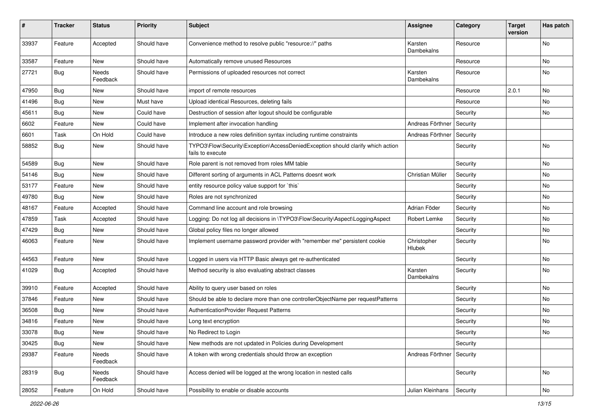| #     | Tracker    | <b>Status</b>            | <b>Priority</b> | Subject                                                                                             | <b>Assignee</b>       | Category | <b>Target</b><br>version | Has patch |
|-------|------------|--------------------------|-----------------|-----------------------------------------------------------------------------------------------------|-----------------------|----------|--------------------------|-----------|
| 33937 | Feature    | Accepted                 | Should have     | Convenience method to resolve public "resource://" paths                                            | Karsten<br>Dambekalns | Resource |                          | No        |
| 33587 | Feature    | New                      | Should have     | Automatically remove unused Resources                                                               |                       | Resource |                          | No        |
| 27721 | <b>Bug</b> | <b>Needs</b><br>Feedback | Should have     | Permissions of uploaded resources not correct                                                       | Karsten<br>Dambekalns | Resource |                          | No        |
| 47950 | <b>Bug</b> | New                      | Should have     | import of remote resources                                                                          |                       | Resource | 2.0.1                    | <b>No</b> |
| 41496 | <b>Bug</b> | New                      | Must have       | Upload identical Resources, deleting fails                                                          |                       | Resource |                          | No        |
| 45611 | <b>Bug</b> | New                      | Could have      | Destruction of session after logout should be configurable                                          |                       | Security |                          | No        |
| 6602  | Feature    | New                      | Could have      | Implement after invocation handling                                                                 | Andreas Förthner      | Security |                          |           |
| 6601  | Task       | On Hold                  | Could have      | Introduce a new roles definition syntax including runtime constraints                               | Andreas Förthner      | Security |                          |           |
| 58852 | <b>Bug</b> | New                      | Should have     | TYPO3\Flow\Security\Exception\AccessDeniedException should clarify which action<br>fails to execute |                       | Security |                          | No        |
| 54589 | <b>Bug</b> | New                      | Should have     | Role parent is not removed from roles MM table                                                      |                       | Security |                          | No        |
| 54146 | <b>Bug</b> | New                      | Should have     | Different sorting of arguments in ACL Patterns doesnt work                                          | Christian Müller      | Security |                          | <b>No</b> |
| 53177 | Feature    | New                      | Should have     | entity resource policy value support for `this`                                                     |                       | Security |                          | No        |
| 49780 | <b>Bug</b> | New                      | Should have     | Roles are not synchronized                                                                          |                       | Security |                          | No        |
| 48167 | Feature    | Accepted                 | Should have     | Command line account and role browsing                                                              | Adrian Föder          | Security |                          | No        |
| 47859 | Task       | Accepted                 | Should have     | Logging: Do not log all decisions in \TYPO3\Flow\Security\Aspect\LoggingAspect                      | Robert Lemke          | Security |                          | No        |
| 47429 | <b>Bug</b> | New                      | Should have     | Global policy files no longer allowed                                                               |                       | Security |                          | No        |
| 46063 | Feature    | New                      | Should have     | Implement username password provider with "remember me" persistent cookie                           | Christopher<br>Hlubek | Security |                          | No        |
| 44563 | Feature    | <b>New</b>               | Should have     | Logged in users via HTTP Basic always get re-authenticated                                          |                       | Security |                          | <b>No</b> |
| 41029 | <b>Bug</b> | Accepted                 | Should have     | Method security is also evaluating abstract classes                                                 | Karsten<br>Dambekalns | Security |                          | No        |
| 39910 | Feature    | Accepted                 | Should have     | Ability to query user based on roles                                                                |                       | Security |                          | No        |
| 37846 | Feature    | New                      | Should have     | Should be able to declare more than one controllerObjectName per requestPatterns                    |                       | Security |                          | No        |
| 36508 | <b>Bug</b> | New                      | Should have     | <b>AuthenticationProvider Request Patterns</b>                                                      |                       | Security |                          | No        |
| 34816 | Feature    | New                      | Should have     | Long text encryption                                                                                |                       | Security |                          | No        |
| 33078 | Bug        | New                      | Should have     | No Redirect to Login                                                                                |                       | Security |                          | No        |
| 30425 | Bug        | New                      | Should have     | New methods are not updated in Policies during Development                                          |                       | Security |                          |           |
| 29387 | Feature    | Needs<br>Feedback        | Should have     | A token with wrong credentials should throw an exception                                            | Andreas Förthner      | Security |                          |           |
| 28319 | <b>Bug</b> | Needs<br>Feedback        | Should have     | Access denied will be logged at the wrong location in nested calls                                  |                       | Security |                          | No        |
| 28052 | Feature    | On Hold                  | Should have     | Possibility to enable or disable accounts                                                           | Julian Kleinhans      | Security |                          | No        |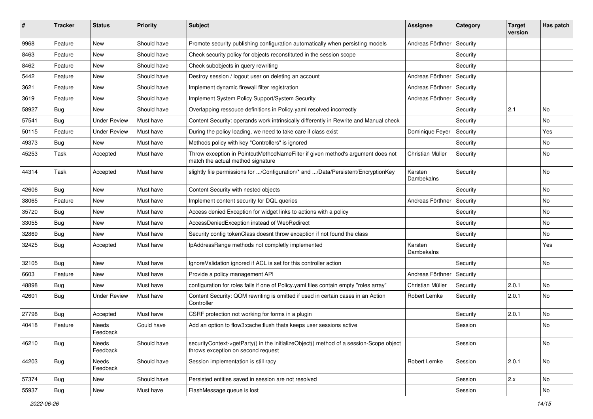| #     | <b>Tracker</b> | <b>Status</b>       | <b>Priority</b> | <b>Subject</b>                                                                                                               | <b>Assignee</b>       | Category | <b>Target</b><br>version | Has patch |
|-------|----------------|---------------------|-----------------|------------------------------------------------------------------------------------------------------------------------------|-----------------------|----------|--------------------------|-----------|
| 9968  | Feature        | <b>New</b>          | Should have     | Promote security publishing configuration automatically when persisting models                                               | Andreas Förthner      | Security |                          |           |
| 8463  | Feature        | New                 | Should have     | Check security policy for objects reconstituted in the session scope                                                         |                       | Security |                          |           |
| 8462  | Feature        | New                 | Should have     | Check subobjects in query rewriting                                                                                          |                       | Security |                          |           |
| 5442  | Feature        | New                 | Should have     | Destroy session / logout user on deleting an account                                                                         | Andreas Förthner      | Security |                          |           |
| 3621  | Feature        | New                 | Should have     | Implement dynamic firewall filter registration                                                                               | Andreas Förthner      | Security |                          |           |
| 3619  | Feature        | New                 | Should have     | Implement System Policy Support/System Security                                                                              | Andreas Förthner      | Security |                          |           |
| 58927 | <b>Bug</b>     | New                 | Should have     | Overlapping ressouce definitions in Policy yaml resolved incorrectly                                                         |                       | Security | 2.1                      | No        |
| 57541 | <b>Bug</b>     | <b>Under Review</b> | Must have       | Content Security: operands work intrinsically differently in Rewrite and Manual check                                        |                       | Security |                          | No        |
| 50115 | Feature        | <b>Under Review</b> | Must have       | During the policy loading, we need to take care if class exist                                                               | Dominique Feyer       | Security |                          | Yes       |
| 49373 | <b>Bug</b>     | New                 | Must have       | Methods policy with key "Controllers" is ignored                                                                             |                       | Security |                          | No        |
| 45253 | Task           | Accepted            | Must have       | Throw exception in PointcutMethodNameFilter if given method's argument does not<br>match the actual method signature         | Christian Müller      | Security |                          | No        |
| 44314 | Task           | Accepted            | Must have       | slightly file permissions for /Configuration/* and /Data/Persistent/EncryptionKey                                            | Karsten<br>Dambekalns | Security |                          | No        |
| 42606 | Bug            | New                 | Must have       | Content Security with nested objects                                                                                         |                       | Security |                          | No        |
| 38065 | Feature        | New                 | Must have       | Implement content security for DQL queries                                                                                   | Andreas Förthner      | Security |                          | No        |
| 35720 | Bug            | New                 | Must have       | Access denied Exception for widget links to actions with a policy                                                            |                       | Security |                          | No        |
| 33055 | <b>Bug</b>     | New                 | Must have       | AccessDeniedException instead of WebRedirect                                                                                 |                       | Security |                          | No        |
| 32869 | Bug            | New                 | Must have       | Security config tokenClass doesnt throw exception if not found the class                                                     |                       | Security |                          | No        |
| 32425 | <b>Bug</b>     | Accepted            | Must have       | IpAddressRange methods not completly implemented                                                                             | Karsten<br>Dambekalns | Security |                          | Yes       |
| 32105 | <b>Bug</b>     | New                 | Must have       | IgnoreValidation ignored if ACL is set for this controller action                                                            |                       | Security |                          | No.       |
| 6603  | Feature        | New                 | Must have       | Provide a policy management API                                                                                              | Andreas Förthner      | Security |                          |           |
| 48898 | <b>Bug</b>     | New                 | Must have       | configuration for roles fails if one of Policy yaml files contain empty "roles array"                                        | Christian Müller      | Security | 2.0.1                    | No        |
| 42601 | Bug            | <b>Under Review</b> | Must have       | Content Security: QOM rewriting is omitted if used in certain cases in an Action<br>Controller                               | Robert Lemke          | Security | 2.0.1                    | No        |
| 27798 | Bug            | Accepted            | Must have       | CSRF protection not working for forms in a plugin                                                                            |                       | Security | 2.0.1                    | No        |
| 40418 | Feature        | Needs<br>Feedback   | Could have      | Add an option to flow3:cache:flush thats keeps user sessions active                                                          |                       | Session  |                          | No        |
| 46210 | Bug            | Needs<br>Feedback   | Should have     | securityContext->getParty() in the initializeObject() method of a session-Scope object<br>throws exception on second request |                       | Session  |                          | No        |
| 44203 | Bug            | Needs<br>Feedback   | Should have     | Session implementation is still racy                                                                                         | Robert Lemke          | Session  | 2.0.1                    | No        |
| 57374 | Bug            | New                 | Should have     | Persisted entities saved in session are not resolved                                                                         |                       | Session  | 2.x                      | No        |
| 55937 | Bug            | New                 | Must have       | FlashMessage queue is lost                                                                                                   |                       | Session  |                          | No        |